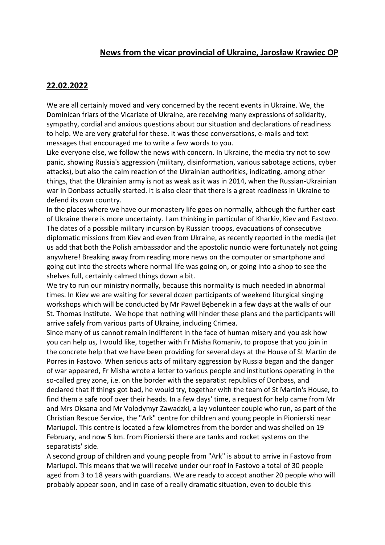### **News from the vicar provincial of Ukraine, Jarosław Krawiec OP**

### **22.02.2022**

We are all certainly moved and very concerned by the recent events in Ukraine. We, the Dominican friars of the Vicariate of Ukraine, are receiving many expressions of solidarity, sympathy, cordial and anxious questions about our situation and declarations of readiness to help. We are very grateful for these. It was these conversations, e-mails and text messages that encouraged me to write a few words to you.

Like everyone else, we follow the news with concern. In Ukraine, the media try not to sow panic, showing Russia's aggression (military, disinformation, various sabotage actions, cyber attacks), but also the calm reaction of the Ukrainian authorities, indicating, among other things, that the Ukrainian army is not as weak as it was in 2014, when the Russian-Ukrainian war in Donbass actually started. It is also clear that there is a great readiness in Ukraine to defend its own country.

In the places where we have our monastery life goes on normally, although the further east of Ukraine there is more uncertainty. I am thinking in particular of Kharkiv, Kiev and Fastovo. The dates of a possible military incursion by Russian troops, evacuations of consecutive diplomatic missions from Kiev and even from Ukraine, as recently reported in the media (let us add that both the Polish ambassador and the apostolic nuncio were fortunately not going anywhere! Breaking away from reading more news on the computer or smartphone and going out into the streets where normal life was going on, or going into a shop to see the shelves full, certainly calmed things down a bit.

We try to run our ministry normally, because this normality is much needed in abnormal times. In Kiev we are waiting for several dozen participants of weekend liturgical singing workshops which will be conducted by Mr Paweł Bębenek in a few days at the walls of our St. Thomas Institute. We hope that nothing will hinder these plans and the participants will arrive safely from various parts of Ukraine, including Crimea.

Since many of us cannot remain indifferent in the face of human misery and you ask how you can help us, I would like, together with Fr Misha Romaniv, to propose that you join in the concrete help that we have been providing for several days at the House of St Martin de Porres in Fastovo. When serious acts of military aggression by Russia began and the danger of war appeared, Fr Misha wrote a letter to various people and institutions operating in the so-called grey zone, i.e. on the border with the separatist republics of Donbass, and declared that if things got bad, he would try, together with the team of St Martin's House, to find them a safe roof over their heads. In a few days' time, a request for help came from Mr and Mrs Oksana and Mr Volodymyr Zawadzki, a lay volunteer couple who run, as part of the Christian Rescue Service, the "Ark" centre for children and young people in Pionierski near Mariupol. This centre is located a few kilometres from the border and was shelled on 19 February, and now 5 km. from Pionierski there are tanks and rocket systems on the separatists' side.

A second group of children and young people from "Ark" is about to arrive in Fastovo from Mariupol. This means that we will receive under our roof in Fastovo a total of 30 people aged from 3 to 18 years with guardians. We are ready to accept another 20 people who will probably appear soon, and in case of a really dramatic situation, even to double this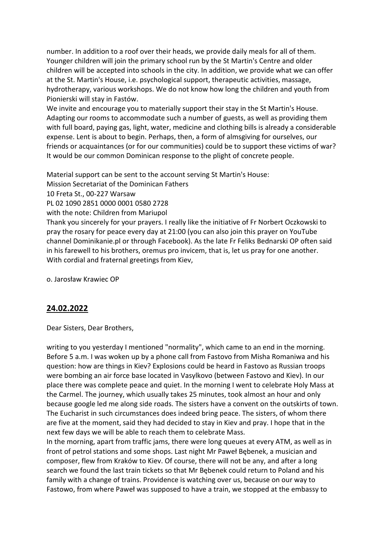number. In addition to a roof over their heads, we provide daily meals for all of them. Younger children will join the primary school run by the St Martin's Centre and older children will be accepted into schools in the city. In addition, we provide what we can offer at the St. Martin's House, i.e. psychological support, therapeutic activities, massage, hydrotherapy, various workshops. We do not know how long the children and youth from Pionierski will stay in Fastów.

We invite and encourage you to materially support their stay in the St Martin's House. Adapting our rooms to accommodate such a number of guests, as well as providing them with full board, paying gas, light, water, medicine and clothing bills is already a considerable expense. Lent is about to begin. Perhaps, then, a form of almsgiving for ourselves, our friends or acquaintances (or for our communities) could be to support these victims of war? It would be our common Dominican response to the plight of concrete people.

Material support can be sent to the account serving St Martin's House:

Mission Secretariat of the Dominican Fathers

10 Freta St., 00-227 Warsaw

PL 02 1090 2851 0000 0001 0580 2728

with the note: Children from Mariupol

Thank you sincerely for your prayers. I really like the initiative of Fr Norbert Oczkowski to pray the rosary for peace every day at 21:00 (you can also join this prayer on YouTube channel Dominikanie.pl or through Facebook). As the late Fr Feliks Bednarski OP often said in his farewell to his brothers, oremus pro invicem, that is, let us pray for one another. With cordial and fraternal greetings from Kiev,

o. Jarosław Krawiec OP

# **24.02.2022**

Dear Sisters, Dear Brothers,

writing to you yesterday I mentioned "normality", which came to an end in the morning. Before 5 a.m. I was woken up by a phone call from Fastovo from Misha Romaniwa and his question: how are things in Kiev? Explosions could be heard in Fastovo as Russian troops were bombing an air force base located in Vasylkovo (between Fastovo and Kiev). In our place there was complete peace and quiet. In the morning I went to celebrate Holy Mass at the Carmel. The journey, which usually takes 25 minutes, took almost an hour and only because google led me along side roads. The sisters have a convent on the outskirts of town. The Eucharist in such circumstances does indeed bring peace. The sisters, of whom there are five at the moment, said they had decided to stay in Kiev and pray. I hope that in the next few days we will be able to reach them to celebrate Mass.

In the morning, apart from traffic jams, there were long queues at every ATM, as well as in front of petrol stations and some shops. Last night Mr Paweł Bębenek, a musician and composer, flew from Kraków to Kiev. Of course, there will not be any, and after a long search we found the last train tickets so that Mr Bębenek could return to Poland and his family with a change of trains. Providence is watching over us, because on our way to Fastowo, from where Paweł was supposed to have a train, we stopped at the embassy to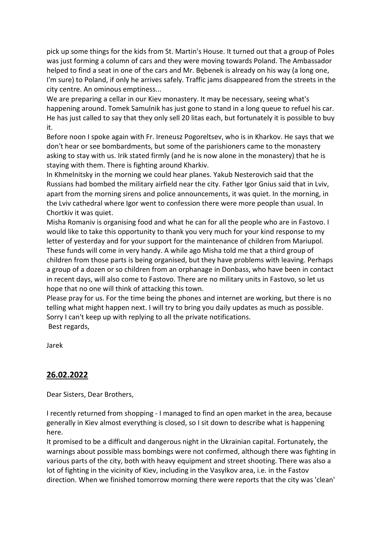pick up some things for the kids from St. Martin's House. It turned out that a group of Poles was just forming a column of cars and they were moving towards Poland. The Ambassador helped to find a seat in one of the cars and Mr. Bębenek is already on his way (a long one, I'm sure) to Poland, if only he arrives safely. Traffic jams disappeared from the streets in the city centre. An ominous emptiness...

We are preparing a cellar in our Kiev monastery. It may be necessary, seeing what's happening around. Tomek Samulnik has just gone to stand in a long queue to refuel his car. He has just called to say that they only sell 20 litas each, but fortunately it is possible to buy it.

Before noon I spoke again with Fr. Ireneusz Pogoreltsev, who is in Kharkov. He says that we don't hear or see bombardments, but some of the parishioners came to the monastery asking to stay with us. Irik stated firmly (and he is now alone in the monastery) that he is staying with them. There is fighting around Kharkiv.

In Khmelnitsky in the morning we could hear planes. Yakub Nesterovich said that the Russians had bombed the military airfield near the city. Father Igor Gnius said that in Lviv, apart from the morning sirens and police announcements, it was quiet. In the morning, in the Lviv cathedral where Igor went to confession there were more people than usual. In Chortkiv it was quiet.

Misha Romaniv is organising food and what he can for all the people who are in Fastovo. I would like to take this opportunity to thank you very much for your kind response to my letter of yesterday and for your support for the maintenance of children from Mariupol. These funds will come in very handy. A while ago Misha told me that a third group of children from those parts is being organised, but they have problems with leaving. Perhaps a group of a dozen or so children from an orphanage in Donbass, who have been in contact in recent days, will also come to Fastovo. There are no military units in Fastovo, so let us hope that no one will think of attacking this town.

Please pray for us. For the time being the phones and internet are working, but there is no telling what might happen next. I will try to bring you daily updates as much as possible. Sorry I can't keep up with replying to all the private notifications. Best regards,

Jarek

#### **26.02.2022**

Dear Sisters, Dear Brothers,

I recently returned from shopping - I managed to find an open market in the area, because generally in Kiev almost everything is closed, so I sit down to describe what is happening here.

It promised to be a difficult and dangerous night in the Ukrainian capital. Fortunately, the warnings about possible mass bombings were not confirmed, although there was fighting in various parts of the city, both with heavy equipment and street shooting. There was also a lot of fighting in the vicinity of Kiev, including in the Vasylkov area, i.e. in the Fastov direction. When we finished tomorrow morning there were reports that the city was 'clean'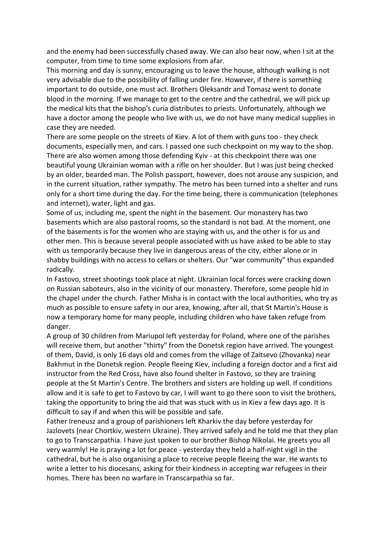and the enemy had been successfully chased away. We can also hear now, when I sit at the computer, from time to time some explosions from afar.

This morning and day is sunny, encouraging us to leave the house, although walking is not very advisable due to the possibility of falling under fire. However, if there is something important to do outside, one must act. Brothers Oleksandr and Tomasz went to donate blood in the morning. If we manage to get to the centre and the cathedral, we will pick up the medical kits that the bishop's curia distributes to priests. Unfortunately, although we have a doctor among the people who live with us, we do not have many medical supplies in case they are needed.

There are some people on the streets of Kiev. A lot of them with guns too - they check documents, especially men, and cars. I passed one such checkpoint on my way to the shop. There are also women among those defending Kyiv - at this checkpoint there was one beautiful young Ukrainian woman with a rifle on her shoulder. But I was just being checked by an older, bearded man. The Polish passport, however, does not arouse any suspicion, and in the current situation, rather sympathy. The metro has been turned into a shelter and runs only for a short time during the day. For the time being, there is communication (telephones and internet), water, light and gas.

Some of us, including me, spent the night in the basement. Our monastery has two basements which are also pastoral rooms, so the standard is not bad. At the moment, one of the basements is for the women who are staying with us, and the other is for us and other men. This is because several people associated with us have asked to be able to stay with us temporarily because they live in dangerous areas of the city, either alone or in shabby buildings with no access to cellars or shelters. Our "war community" thus expanded radically.

In Fastovo, street shootings took place at night. Ukrainian local forces were cracking down on Russian saboteurs, also in the vicinity of our monastery. Therefore, some people hid in the chapel under the church. Father Misha is in contact with the local authorities, who try as much as possible to ensure safety in our area, knowing, after all, that St Martin's House is now a temporary home for many people, including children who have taken refuge from danger.

A group of 30 children from Mariupol left yesterday for Poland, where one of the parishes will receive them, but another "thirty" from the Donetsk region have arrived. The youngest of them, David, is only 16 days old and comes from the village of Zaitsevo (Zhovanka) near Bakhmut in the Donetsk region. People fleeing Kiev, including a foreign doctor and a first aid instructor from the Red Cross, have also found shelter in Fastovo, so they are training people at the St Martin's Centre. The brothers and sisters are holding up well. If conditions allow and it is safe to get to Fastovo by car, I will want to go there soon to visit the brothers, taking the opportunity to bring the aid that was stuck with us in Kiev a few days ago. It is difficult to say if and when this will be possible and safe.

Father Ireneusz and a group of parishioners left Kharkiv the day before yesterday for Jazlovets (near Chortkiv, western Ukraine). They arrived safely and he told me that they plan to go to Transcarpathia. I have just spoken to our brother Bishop Nikolai. He greets you all very warmly! He is praying a lot for peace - yesterday they held a half-night vigil in the cathedral, but he is also organising a place to receive people fleeing the war. He wants to write a letter to his diocesans, asking for their kindness in accepting war refugees in their homes. There has been no warfare in Transcarpathia so far.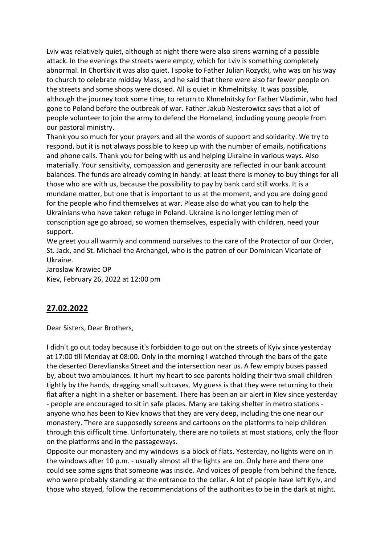Lviv was relatively quiet, although at night there were also sirens warning of a possible attack. In the evenings the streets were empty, which for Lviv is something completely abnormal. In Chortkiv it was also quiet. I spoke to Father Julian Rozycki, who was on his way to church to celebrate midday Mass, and he said that there were also far fewer people on the streets and some shops were closed. All is quiet in Khmelnitsky. It was possible, although the journey took some time, to return to Khmelnitsky for Father Vladimir, who had gone to Poland before the outbreak of war. Father Jakub Nesterowicz says that a lot of people volunteer to join the army to defend the Homeland, including young people from our pastoral ministry.

Thank you so much for your prayers and all the words of support and solidarity. We try to respond, but it is not always possible to keep up with the number of emails, notifications and phone calls. Thank you for being with us and helping Ukraine in various ways. Also materially. Your sensitivity, compassion and generosity are reflected in our bank account balances. The funds are already coming in handy: at least there is money to buy things for all those who are with us, because the possibility to pay by bank card still works. It is a mundane matter, but one that is important to us at the moment, and you are doing good for the people who find themselves at war. Please also do what you can to help the Ukrainians who have taken refuge in Poland. Ukraine is no longer letting men of conscription age go abroad, so women themselves, especially with children, need your support.

We greet you all warmly and commend ourselves to the care of the Protector of our Order, St. Jack, and St. Michael the Archangel, who is the patron of our Dominican Vicariate of Ukraine.

Jarosław Krawiec OP Kiev, February 26, 2022 at 12:00 pm

# **27.02.2022**

Dear Sisters, Dear Brothers,

I didn't go out today because it's forbidden to go out on the streets of Kyiv since yesterday at 17:00 till Monday at 08:00. Only in the morning I watched through the bars of the gate the deserted Derevlianska Street and the intersection near us. A few empty buses passed by, about two ambulances. It hurt my heart to see parents holding their two small children tightly by the hands, dragging small suitcases. My guess is that they were returning to their flat after a night in a shelter or basement. There has been an air alert in Kiev since yesterday - people are encouraged to sit in safe places. Many are taking shelter in metro stations anyone who has been to Kiev knows that they are very deep, including the one near our monastery. There are supposedly screens and cartoons on the platforms to help children through this difficult time. Unfortunately, there are no toilets at most stations, only the floor on the platforms and in the passageways.

Opposite our monastery and my windows is a block of flats. Yesterday, no lights were on in the windows after 10 p.m. - usually almost all the lights are on. Only here and there one could see some signs that someone was inside. And voices of people from behind the fence, who were probably standing at the entrance to the cellar. A lot of people have left Kyiv, and those who stayed, follow the recommendations of the authorities to be in the dark at night.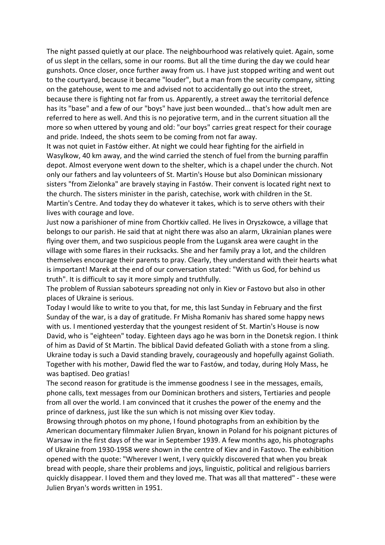The night passed quietly at our place. The neighbourhood was relatively quiet. Again, some of us slept in the cellars, some in our rooms. But all the time during the day we could hear gunshots. Once closer, once further away from us. I have just stopped writing and went out to the courtyard, because it became "louder", but a man from the security company, sitting on the gatehouse, went to me and advised not to accidentally go out into the street, because there is fighting not far from us. Apparently, a street away the territorial defence has its "base" and a few of our "boys" have just been wounded... that's how adult men are referred to here as well. And this is no pejorative term, and in the current situation all the more so when uttered by young and old: "our boys" carries great respect for their courage and pride. Indeed, the shots seem to be coming from not far away.

It was not quiet in Fastów either. At night we could hear fighting for the airfield in Wasylkow, 40 km away, and the wind carried the stench of fuel from the burning paraffin depot. Almost everyone went down to the shelter, which is a chapel under the church. Not only our fathers and lay volunteers of St. Martin's House but also Dominican missionary sisters "from Zielonka" are bravely staying in Fastów. Their convent is located right next to the church. The sisters minister in the parish, catechise, work with children in the St. Martin's Centre. And today they do whatever it takes, which is to serve others with their lives with courage and love.

Just now a parishioner of mine from Chortkiv called. He lives in Oryszkowce, a village that belongs to our parish. He said that at night there was also an alarm, Ukrainian planes were flying over them, and two suspicious people from the Lugansk area were caught in the village with some flares in their rucksacks. She and her family pray a lot, and the children themselves encourage their parents to pray. Clearly, they understand with their hearts what is important! Marek at the end of our conversation stated: "With us God, for behind us truth". It is difficult to say it more simply and truthfully.

The problem of Russian saboteurs spreading not only in Kiev or Fastovo but also in other places of Ukraine is serious.

Today I would like to write to you that, for me, this last Sunday in February and the first Sunday of the war, is a day of gratitude. Fr Misha Romaniv has shared some happy news with us. I mentioned yesterday that the youngest resident of St. Martin's House is now David, who is "eighteen" today. Eighteen days ago he was born in the Donetsk region. I think of him as David of St Martin. The biblical David defeated Goliath with a stone from a sling. Ukraine today is such a David standing bravely, courageously and hopefully against Goliath. Together with his mother, Dawid fled the war to Fastów, and today, during Holy Mass, he was baptised. Deo gratias!

The second reason for gratitude is the immense goodness I see in the messages, emails, phone calls, text messages from our Dominican brothers and sisters, Tertiaries and people from all over the world. I am convinced that it crushes the power of the enemy and the prince of darkness, just like the sun which is not missing over Kiev today.

Browsing through photos on my phone, I found photographs from an exhibition by the American documentary filmmaker Julien Bryan, known in Poland for his poignant pictures of Warsaw in the first days of the war in September 1939. A few months ago, his photographs of Ukraine from 1930-1958 were shown in the centre of Kiev and in Fastovo. The exhibition opened with the quote: "Wherever I went, I very quickly discovered that when you break bread with people, share their problems and joys, linguistic, political and religious barriers quickly disappear. I loved them and they loved me. That was all that mattered" - these were Julien Bryan's words written in 1951.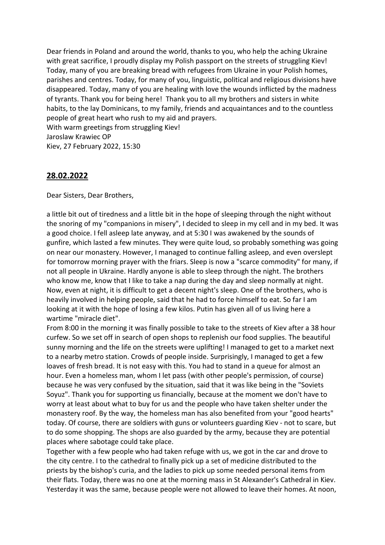Dear friends in Poland and around the world, thanks to you, who help the aching Ukraine with great sacrifice, I proudly display my Polish passport on the streets of struggling Kiev! Today, many of you are breaking bread with refugees from Ukraine in your Polish homes, parishes and centres. Today, for many of you, linguistic, political and religious divisions have disappeared. Today, many of you are healing with love the wounds inflicted by the madness of tyrants. Thank you for being here! Thank you to all my brothers and sisters in white habits, to the lay Dominicans, to my family, friends and acquaintances and to the countless people of great heart who rush to my aid and prayers. With warm greetings from struggling Kiev! Jaroslaw Krawiec OP

Kiev, 27 February 2022, 15:30

#### **28.02.2022**

Dear Sisters, Dear Brothers,

a little bit out of tiredness and a little bit in the hope of sleeping through the night without the snoring of my "companions in misery", I decided to sleep in my cell and in my bed. It was a good choice. I fell asleep late anyway, and at 5:30 I was awakened by the sounds of gunfire, which lasted a few minutes. They were quite loud, so probably something was going on near our monastery. However, I managed to continue falling asleep, and even overslept for tomorrow morning prayer with the friars. Sleep is now a "scarce commodity" for many, if not all people in Ukraine. Hardly anyone is able to sleep through the night. The brothers who know me, know that I like to take a nap during the day and sleep normally at night. Now, even at night, it is difficult to get a decent night's sleep. One of the brothers, who is heavily involved in helping people, said that he had to force himself to eat. So far I am looking at it with the hope of losing a few kilos. Putin has given all of us living here a wartime "miracle diet".

From 8:00 in the morning it was finally possible to take to the streets of Kiev after a 38 hour curfew. So we set off in search of open shops to replenish our food supplies. The beautiful sunny morning and the life on the streets were uplifting! I managed to get to a market next to a nearby metro station. Crowds of people inside. Surprisingly, I managed to get a few loaves of fresh bread. It is not easy with this. You had to stand in a queue for almost an hour. Even a homeless man, whom I let pass (with other people's permission, of course) because he was very confused by the situation, said that it was like being in the "Soviets Soyuz". Thank you for supporting us financially, because at the moment we don't have to worry at least about what to buy for us and the people who have taken shelter under the monastery roof. By the way, the homeless man has also benefited from your "good hearts" today. Of course, there are soldiers with guns or volunteers guarding Kiev - not to scare, but to do some shopping. The shops are also guarded by the army, because they are potential places where sabotage could take place.

Together with a few people who had taken refuge with us, we got in the car and drove to the city centre. I to the cathedral to finally pick up a set of medicine distributed to the priests by the bishop's curia, and the ladies to pick up some needed personal items from their flats. Today, there was no one at the morning mass in St Alexander's Cathedral in Kiev. Yesterday it was the same, because people were not allowed to leave their homes. At noon,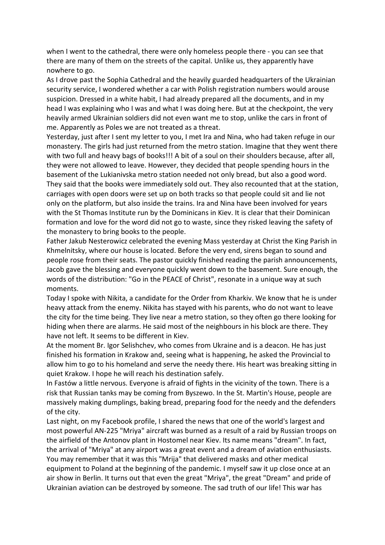when I went to the cathedral, there were only homeless people there - you can see that there are many of them on the streets of the capital. Unlike us, they apparently have nowhere to go.

As I drove past the Sophia Cathedral and the heavily guarded headquarters of the Ukrainian security service, I wondered whether a car with Polish registration numbers would arouse suspicion. Dressed in a white habit, I had already prepared all the documents, and in my head I was explaining who I was and what I was doing here. But at the checkpoint, the very heavily armed Ukrainian soldiers did not even want me to stop, unlike the cars in front of me. Apparently as Poles we are not treated as a threat.

Yesterday, just after I sent my letter to you, I met Ira and Nina, who had taken refuge in our monastery. The girls had just returned from the metro station. Imagine that they went there with two full and heavy bags of books!!! A bit of a soul on their shoulders because, after all, they were not allowed to leave. However, they decided that people spending hours in the basement of the Lukianivska metro station needed not only bread, but also a good word. They said that the books were immediately sold out. They also recounted that at the station, carriages with open doors were set up on both tracks so that people could sit and lie not only on the platform, but also inside the trains. Ira and Nina have been involved for years with the St Thomas Institute run by the Dominicans in Kiev. It is clear that their Dominican formation and love for the word did not go to waste, since they risked leaving the safety of the monastery to bring books to the people.

Father Jakub Nesterowicz celebrated the evening Mass yesterday at Christ the King Parish in Khmelnitsky, where our house is located. Before the very end, sirens began to sound and people rose from their seats. The pastor quickly finished reading the parish announcements, Jacob gave the blessing and everyone quickly went down to the basement. Sure enough, the words of the distribution: "Go in the PEACE of Christ", resonate in a unique way at such moments.

Today I spoke with Nikita, a candidate for the Order from Kharkiv. We know that he is under heavy attack from the enemy. Nikita has stayed with his parents, who do not want to leave the city for the time being. They live near a metro station, so they often go there looking for hiding when there are alarms. He said most of the neighbours in his block are there. They have not left. It seems to be different in Kiev.

At the moment Br. Igor Selishchev, who comes from Ukraine and is a deacon. He has just finished his formation in Krakow and, seeing what is happening, he asked the Provincial to allow him to go to his homeland and serve the needy there. His heart was breaking sitting in quiet Krakow. I hope he will reach his destination safely.

In Fastów a little nervous. Everyone is afraid of fights in the vicinity of the town. There is a risk that Russian tanks may be coming from Byszewo. In the St. Martin's House, people are massively making dumplings, baking bread, preparing food for the needy and the defenders of the city.

Last night, on my Facebook profile, I shared the news that one of the world's largest and most powerful AN-225 "Mriya" aircraft was burned as a result of a raid by Russian troops on the airfield of the Antonov plant in Hostomel near Kiev. Its name means "dream". In fact, the arrival of "Mriya" at any airport was a great event and a dream of aviation enthusiasts. You may remember that it was this "Mrija" that delivered masks and other medical equipment to Poland at the beginning of the pandemic. I myself saw it up close once at an air show in Berlin. It turns out that even the great "Mriya", the great "Dream" and pride of Ukrainian aviation can be destroyed by someone. The sad truth of our life! This war has